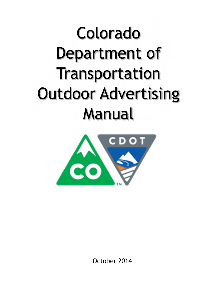# Colorado Department of Transportation Outdoor Advertising Manual



October 2014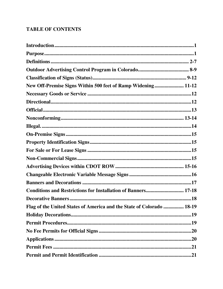# **TABLE OF CONTENTS**

| Purpose. 1                                                            |  |
|-----------------------------------------------------------------------|--|
|                                                                       |  |
|                                                                       |  |
|                                                                       |  |
| New Off-Premise Signs Within 500 feet of Ramp Widening 11-12          |  |
|                                                                       |  |
|                                                                       |  |
|                                                                       |  |
|                                                                       |  |
|                                                                       |  |
|                                                                       |  |
|                                                                       |  |
|                                                                       |  |
|                                                                       |  |
|                                                                       |  |
|                                                                       |  |
|                                                                       |  |
| <b>Conditions and Restrictions for Installation of Banners 17-18</b>  |  |
|                                                                       |  |
| Flag of the United States of America and the State of Colorado  18-19 |  |
|                                                                       |  |
|                                                                       |  |
|                                                                       |  |
|                                                                       |  |
|                                                                       |  |
|                                                                       |  |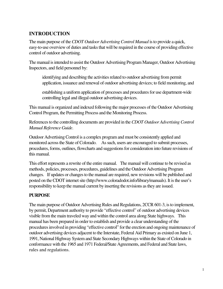# **INTRODUCTION**

The main purpose of the *CDOT Outdoor Advertising Control Manual* is to provide a quick, easy-to-use overview of duties and tasks that will be required in the course of providing effective control of outdoor advertising.

The manual is intended to assist the Outdoor Advertising Program Manager, Outdoor Advertising Inspectors, and field personnel by:

identifying and describing the activities related to outdoor advertising from permit application, issuance and renewal of outdoor advertising devices; to field monitoring, and

establishing a uniform application of processes and procedures for use department-wide controlling legal and illegal outdoor advertising devices.

This manual is organized and indexed following the major processes of the Outdoor Advertising Control Program, the Permitting Process and the Monitoring Process.

References to the controlling documents are provided in the *CDOT Outdoor Advertising Control Manual Reference Guide*.

Outdoor Advertising Control is a complex program and must be consistently applied and monitored across the State of Colorado. As such, users are encouraged to submit processes, procedures, forms, outlines, flowcharts and suggestions for consideration into future revisions of this manual.

This effort represents a rewrite of the entire manual. The manual will continue to be revised as methods, policies, processes, procedures, guidelines and the Outdoor Advertising Program changes. If updates or changes to the manual are required, new revisions will be published and posted on the CDOT internet site (http://www.coloradodot.info/library/manuals). It is the user's responsibility to keep the manual current by inserting the revisions as they are issued.

## **PURPOSE**

The main purpose of Outdoor Advertising Rules and Regulations, 2CCR 601-3, is to implement, by permit, Department authority to provide "effective control" of outdoor advertising devices visible from the main traveled way and within the control area along State highways. This manual has been prepared in order to establish and provide a clear understanding of the procedures involved in providing "effective control" for the erection and ongoing maintenance of outdoor advertising devices adjacent to the Interstate, Federal Aid Primary as existed on June 1, 1991, National Highway System and State Secondary Highways within the State of Colorado in conformance with the 1965 and 1971 Federal/State Agreements, and Federal and State laws, rules and regulations.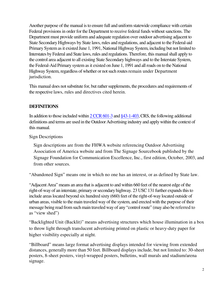Another purpose of the manual is to ensure full and uniform statewide compliance with certain Federal provisions in order for the Department to receive federal funds without sanctions. The Department must provide uniform and adequate regulation over outdoor advertising adjacent to State Secondary Highways by State laws, rules and regulations, and adjacent to the Federal-aid Primary System as it existed June 1, 1991, National Highway System, including but not limited to Interstates by Federal and State laws, rules and regulations. Therefore, this manual shall apply to the control area adjacent to all existing State Secondary highways and to the Interstate System, the Federal-Aid Primary system as it existed on June 1, 1991 and all roads on to the National Highway System, regardless of whether or not such routes remain under Department jurisdiction.

This manual does not substitute for, but rather supplements, the procedures and requirements of the respective laws, rules and directives cited herein.

## **DEFINITIONS**

In addition to those included within 2 CCR 601-3 and §43-1-403, CRS, the following additional definitions and terms are used in the Outdoor Advertising industry and apply within the context of this manual.

Sign Descriptions

Sign descriptions are from the FHWA website referencing Outdoor Advertising Association of America website and from The Signage Sourcebook published by the Signage Foundation for Communication Excellence, Inc., first edition, October, 2003, and from other sources.

"Abandoned Sign" means one in which no one has an interest, or as defined by State law.

"Adjacent Area" means an area that is adjacent to and within 660 feet of the nearest edge of the right-of-way of an interstate, primary or secondary highway. 23 USC 131 further expands this to include areas located beyond six hundred sixty (660) feet of the right-of-way located outside of urban areas, visible to the main traveled way of the system, and erected with the purpose of their message being read from such main traveled way of any "control route" (may also be referred to as "view shed")

"Backlighted Unit (Backlit)" means advertising structures which house illumination in a box to throw light through translucent advertising printed on plastic or heavy-duty paper for higher visibility especially at night.

"Billboard" means large format advertising displays intended for viewing from extended distances, generally more than 50 feet. Billboard displays include, but not limited to: 30-sheet posters, 8-sheet posters, vinyl-wrapped posters, bulletins, wall murals and stadium/arena signage.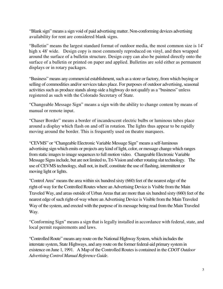"Blank sign" means a sign void of paid advertising matter. Non-conforming devices advertising availability for rent are considered blank signs.

"Bulletin" means the largest standard format of outdoor media, the most common size is 14' high x 48' wide. Design copy is most commonly reproduced on vinyl, and then wrapped around the surface of a bulletin structure. Design copy can also be painted directly onto the surface of a bulletin or printed on paper and applied. Bulletins are sold either as permanent displays or in rotary packages.

"Business" means any commercial establishment, such as a store or factory, from which buying or selling of commodities and/or services takes place. For purposes of outdoor advertising, seasonal activities such as produce stands along-side a highway do not qualify as a "business" unless registered as such with the Colorado Secretary of State.

"Changeable Message Sign" means a sign with the ability to change content by means of manual or remote input.

"Chaser Border" means a border of incandescent electric bulbs or luminous tubes place around a display which flash on and off in rotation. The lights thus appear to be rapidly moving around the border. This is frequently used on theatre marquees.

"CEVMS" or "Changeable Electronic Variable Message Sign" means a self-luminous advertising sign which emits or projects any kind of light, color, or message change which ranges from static images to image sequences to full motion video. Changeable Electronic Variable Message Signs include, but are not limited to, Tri-Vision and other rotating slat technology. The use of CEVMS technology, shall not, in itself, constitute the use of flashing, intermittent or moving light or lights.

"Control Area" means the area within six hundred sixty (660) feet of the nearest edge of the right-of-way for the Controlled Routes where an Advertising Device is Visible from the Main Traveled Way, and areas outside of Urban Areas that are more than six hundred sixty (660) feet of the nearest edge of such right-of-way where an Advertising Device is Visible from the Main Traveled Way of the system, and erected with the purpose of its message being read from the Main Traveled Way.

"Conforming Sign" means a sign that is legally installed in accordance with federal, state, and local permit requirements and laws.

"Controlled Route" means any route on the National Highway System, which includes the interstate system, State Highways, and any route on the former federal-aid primary system in existence on June 1, 1991. A Map of the Controlled Routes is contained in the *CDOT Outdoor Advertising Control Manual Reference Guide*.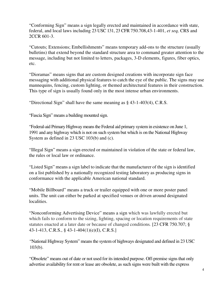"Conforming Sign" means a sign legally erected and maintained in accordance with state, federal, and local laws including 23 USC 131, 23 CFR 750.708,43-1-401, *et seq,* CRS and 2CCR 601-3.

"Cutouts; Extensions; Embellishments" means temporary add-ons to the structure (usually bulletins) that extend beyond the standard structure area to command greater attention to the message, including but not limited to letters, packages, 3-D elements, figures, fiber optics, etc.

"Dioramas" means signs that are custom designed creations with incorporate sign face messaging with additional physical features to catch the eye of the public. The signs may use mannequins, fencing, custom lighting, or themed architectural features in their construction. This type of sign is usually found only in the most intense urban environments.

"Directional Sign" shall have the same meaning as § 43-1-403(4), C.R.S.

"Fascia Sign" means a building mounted sign.

"Federal-aid Primary Highway means the Federal aid primary system in existence on June 1, 1991 and any highway which is not on such system but which is on the National Highway System as defined in 23 USC 103(b) and (c).

"Illegal Sign" means a sign erected or maintained in violation of the state or federal law, the rules or local law or ordinance.

"Listed Sign" means a sign label to indicate that the manufacturer of the sign is identified on a list published by a nationally recognized testing laboratory as producing signs in conformance with the applicable American national standard.

"Mobile Billboard" means a truck or trailer equipped with one or more poster panel units. The unit can either be parked at specified venues or driven around designated localities.

"Nonconforming Advertising Device" means a sign which was lawfully erected but which fails to conform to the sizing, lighting, spacing or location requirements of state statutes enacted at a later date or because of changed conditions*.* [23 CFR 750.707; § 43-1-413, C.R.S., § 43-1-404(1)(e)(I), C.R.S.]

"National Highway System" means the system of highways designated and defined in 23 USC 103(b).

"Obsolete" means out of date or not used for its intended purpose. Off-premise signs that only advertise availability for rent or lease are obsolete, as such signs were built with the express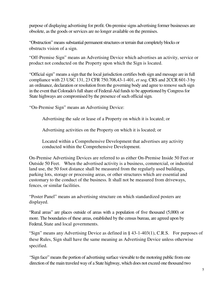purpose of displaying advertising for profit. On-premise signs advertising former businesses are obsolete, as the goods or services are no longer available on the premises.

"Obstruction" means substantial permanent structures or terrain that completely blocks or obstructs vision of a sign.

"Off-Premise Sign" means an Advertising Device which advertises an activity, service or product not conducted on the Property upon which the Sign is located.

"Official sign" means a sign that the local jurisdiction certifies both sign and message are in full compliance with 23 USC 131, 23 CFR 750.708,43-1-401, *et seq,* CRS and 2CCR 601-3 by an ordinance, declaration or resolution from the governing body and agree to remove such sign in the event that Colorado's full share of Federal-Aid funds to be apportioned by Congress for State highways are compromised by the presence of such official sign.

"On-Premise Sign" means an Advertising Device:

Advertising the sale or lease of a Property on which it is located; or

Advertising activities on the Property on which it is located; or

Located within a Comprehensive Development that advertises any activity conducted within the Comprehensive Development.

On-Premise Advertising Devices are referred to as either On-Premise Inside 50 Feet or Outside 50 Feet. When the advertised activity is a business, commercial, or industrial land use, the 50 foot distance shall be measured from the regularly used buildings, parking lots, storage or processing areas, or other structures which are essential and customary to the conduct of the business. It shall not be measured from driveways, fences, or similar facilities.

"Poster Panel" means an advertising structure on which standardized posters are displayed.

"Rural areas" are places outside of areas with a population of five thousand (5,000) or more. The boundaries of these areas, established by the census bureau, are agreed upon by Federal, State and local governments.

"Sign" means any Advertising Device as defined in § 43-1-403(1), C.R.S. For purposes of these Rules, Sign shall have the same meaning as Advertising Device unless otherwise specified.

"Sign face" means the portion of advertising surface viewable to the motoring public from one direction of the main traveled way of a State highway, which does not exceed one thousand two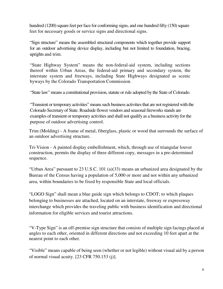hundred (1200) square feet per face for conforming signs, and one hundred fifty (150) square feet for necessary goods or service signs and directional signs.

"Sign structure" means the assembled structural components which together provide support for an outdoor advertising device display, including but not limited to foundation, bracing, uprights and trim.

"State Highway System" means the non-federal-aid system, including sections thereof within Urban Areas, the federal-aid primary and secondary system, the interstate system and freeways, including State Highways designated as scenic byways by the Colorado Transportation Commission.

"State law" means a constitutional provision, statute or rule adopted by the State of Colorado.

"Transient or temporary activities" means such business activities that are not registered with the Colorado Secretary of State. Roadside flower vendors and seasonal fireworks stands are examples of transient or temporary activities and shall not qualify as a business activity for the purpose of outdoor advertising control.

Trim (Molding) - A frame of metal, fiberglass, plastic or wood that surrounds the surface of an outdoor advertising structure.

Tri-Vision - A painted display embellishment, which, through use of triangular louver construction, permits the display of three different copy, messages in a pre-determined sequence.

"Urban Area" pursuant to 23 U.S.C. 101 (a)(33) means an urbanized area designated by the Bureau of the Census having a population of 5,000 or more and not within any urbanized area, within boundaries to be fixed by responsible State and local officials.

"LOGO Sign" shall mean a blue guide sign which belongs to CDOT; to which plaques belonging to businesses are attached, located on an interstate, freeway or expressway interchange which provides the traveling public with business identification and directional information for eligible services and tourist attractions.

"V-Type Sign" is an off-premise sign structure that consists of multiple sign facings placed at angles to each other, oriented in different directions and not exceeding 10 feet apart at the nearest point to each other.

"Visible" means capable of being seen (whether or not legible) without visual aid by a person of normal visual acuity. [23 CFR 750.153 (j)].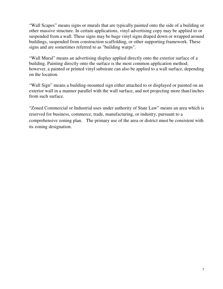"Wall Scapes" means signs or murals that are typically painted onto the side of a building or other massive structure. In certain applications, vinyl advertising copy may be applied to or suspended from a wall. These signs may be huge vinyl signs draped down or wrapped around buildings, suspended from construction scaffolding, or other supporting framework. These signs and are sometimes referred to as "building warps".

"Wall Mural" means an advertising display applied directly onto the exterior surface of a building. Painting directly onto the surface is the most common application method; however, a painted or printed vinyl substrate can also be applied to a wall surface, depending on the location.

"Wall Sign" means a building-mounted sign either attached to or displayed or painted on an exterior wall in a manner parallel with the wall surface, and not projecting more than1inches from such surface.

"Zoned Commercial or Industrial uses under authority of State Law" means an area which is reserved for business, commerce, trade, manufacturing, or industry, pursuant to a comprehensive zoning plan. The primary use of the area or district must be consistent with its zoning designation.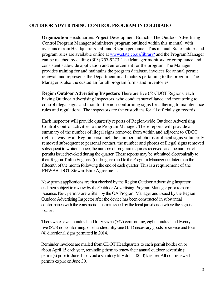## **OUTDOOR ADVERTISING CONTROL PROGRAM IN COLORADO**

**Organization** Headquarters Project Development Branch - The Outdoor Advertising Control Program Manager administers program outlined within this manual, with assistance from Headquarters staff and Region personnel. This manual, State statutes and program rules are available online at www.state.co.us/library/ and the Program Manager can be reached by calling (303) 757-9273. The Manager monitors for compliance and consistent statewide application and enforcement for the program. The Manager provides training for and maintains the program database, invoices for annual permit renewal, and represents the Department in all matters pertaining to the program. The Manager is also the custodian for all program forms and inventories.

**Region Outdoor Advertising Inspectors** There are five (5) CDOT Regions, each having Outdoor Advertising Inspectors, who conduct surveillance and monitoring to control illegal signs and monitor the non-conforming signs for adhering to maintenance rules and regulations. The inspectors are the custodians for all official sign records.

Each inspector will provide quarterly reports of Region-wide Outdoor Advertising Control Control activities to the Program Manager. These reports will provide a summary of the number of illegal signs removed from within and adjacent to CDOT right-of-way by all Region personnel, the number and photos of illegal signs voluntarily removed subsequent to personal contact, the number and photos of illegal signs removed subsequent to written notice, the number of program inquiries received, and the number of permits issued/revoked during the quarter. These reports may be submitted electronically to their Region Traffic Engineer (or designee) and to the Program Manager not later than the fifteenth of the month following the end of each quarter. This is a requirement of the FHWA/CDOT Stewardship Agreement.

New permit applications are first checked by the Region Outdoor Advertising Inspector, and then subject to review by the Outdoor Advertising Program Manager prior to permit issuance. New permits are written by the OA Program Manager and issued by the Region Outdoor Advertising Inspector after the device has been constructed in substantial conformance with the construction permit issued by the local jurisdiction where the sign is located.

There were seven hundred and forty seven (747) conforming, eight hundred and twenty five (825) nonconforming, one hundred fifty-one (151) necessary goods or service and four (4) directional signs permitted in 2014.

Reminder invoices are mailed from CDOT Headquarters to each permit holder on or about April 15 each year, reminding them to renew their annual outdoor advertising permit(s) prior to June 1 to avoid a statutory fifty dollar (\$50) late fee. All non-renewed permits expire on June 30.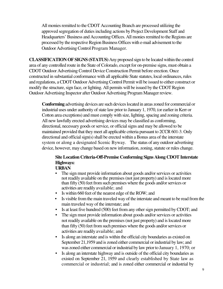All monies remitted to the CDOT Accounting Branch are processed utilizing the approved segregation of duties including actions by Project Development Staff and Headquarters' Business and Accounting Offices. All monies remitted to the Regions are processed by the respective Region Business Offices with e-mail advisement to the Outdoor Advertising Control Program Manager.

**CLASSIFICATION OF SIGNS (STATUS)** Any proposed sign to be located within the control area of any controlled route in the State of Colorado, except for on-premise signs, must obtain a CDOT Outdoor Advertising Control Device Construction Permit before erection. Once constructed in substantial conformance with all applicable State statutes, local ordinances, rules and regulations, a CDOT Outdoor Advertising Control Permit will be issued to either construct or modify the structure, sign face, or lighting. All permits will be issued by the CDOT Region Outdoor Advertising Inspector after Outdoor Advertising Program Manager review.

**Conforming** advertising devices are such devices located in areas zoned for commercial or industrial uses under authority of state law prior to January 1, 1970, (or earlier in Kerr or Cotton area exceptions) and must comply with size, lighting, spacing and zoning criteria. All new lawfully erected advertising devices may be classified as conforming, directional, necessary goods or service, or official signs and may be allowed to be maintained provided that they meet all applicable criteria pursuant to 2CCR 601-3. Only directional and official sign(s) shall be erected within a Bonus area of the interstate system or along a designated Scenic Byway. The status of any outdoor advertising device, however, may change based on new information, zoning, statute or rules change.

# **Site Location Criteria-Off-Premise Conforming Signs Along CDOT Interstate Highways:**

#### **URBAN**

- The sign must provide information about goods and/or services or activities not readily available on the premises (not just property) and is located more than fifty (50) feet from such premises where the goods and/or services or activities are readily available; and
- Is within 660 feet of the nearest edge of the ROW; and
- Is visible from the main traveled way of the interstate and meant to be read from the main traveled way of the interstate; and
- Is at least five hundred (500) feet from any other sign permitted by CDOT; and
- The sign must provide information about goods and/or services or activities not readily available on the premises (not just property) and is located more than fifty (50) feet from such premises where the goods and/or services or activities are readily available; and
- Is along an interstate and is within the official city boundaries as existed on September 21,1959 and is zoned either commercial or industrial by law; and was zoned either commercial or industrial by law prior to January 1, 1970; or
- Is along an interstate highway and is outside of the official city boundaries as existed on September 21, 1959 and clearly established by State law as commercial or industrial; and is zoned either commercial or industrial by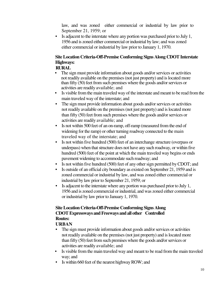law, and was zoned either commercial or industrial by law prior to September 21, 1959; or

• Is adjacent to the interstate where any portion was purchased prior to July 1, 1956 and is zoned either commercial or industrial by law; and was zoned either commercial or industrial by law prior to January 1, 1970.

# **Site Location Criteria-Off-Premise Conforming Signs Along CDOT Interstate Highways:**

#### **RURAL**

- The sign must provide information about goods and/or services or activities not readily available on the premises (not just property) and is located more than fifty (50) feet from such premises where the goods and/or services or activities are readily available; and
- Is visible from the main traveled way of the interstate and meant to be read from the main traveled way of the interstate; and
- The sign must provide information about goods and/or services or activities not readily available on the premises (not just property) and is located more than fifty (50) feet from such premises where the goods and/or services or activities are readily available; and
- Is not within 500 feet of an on-ramp, off-ramp (measured from the end of widening for the ramp) or other turning roadway connected to the main traveled way of the interstate; and
- Is not within five hundred (500) feet of an interchange structure (overpass or underpass) when that structure does not have any such roadway, or within five hundred (500) feet of the point at which the main traveled way begins or ends pavement widening to accommodate such roadway; and
- Is not within five hundred (500) feet of any other sign permitted by CDOT; and
- Is outside of an official city boundary as existed on September 21, 1959 and is zoned commercial or industrial by law, and was zoned either commercial or industrial by law prior to September 21, 1959; or
- Is adjacent to the interstate where any portion was purchased prior to July 1, 1956 and is zoned commercial or industrial, and was zoned either commercial or industrial by law prior to January 1, 1970.

## **Site Location Criteria-Off-Premise Conforming Signs Along CDOT Expressways and Freeways and all other Controlled Routes:**

## **URBAN**

- The sign must provide information about goods and/or services or activities not readily available on the premises (not just property) and is located more than fifty (50) feet from such premises where the goods and/or services or activities are readily available; and
- Is visible from the main traveled way and meant to be read from the main traveled way; and
- Is within 660 feet of the nearest highway ROW; and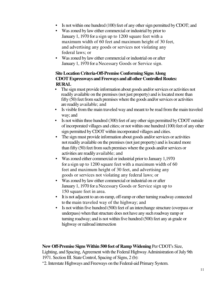- Is not within one hundred (100) feet of any other sign permitted by CDOT; and
- Was zoned by law either commercial or industrial by prior to January 1, 1970 for a sign up to 1200 square feet with a maximum width of 60 feet and maximum height of 30 feet, and advertising any goods or services not violating any federal laws; or
- Was zoned by law either commercial or industrial on or after January 1, 1970 for a Necessary Goods or Service sign.

#### **Site Location Criteria-Off-Premise Conforming Signs Along CDOT Expressways and Freeways and all other Controlled Routes: RURAL**

- The sign must provide information about goods and/or services or activities not readily available on the premises (not just property) and is located more than fifty (50) feet from such premises where the goods and/or services or activities are readily available; and
- Is visible from the main traveled way and meant to be read from the main traveled way; and
- Is not within three hundred (300) feet of any other sign permitted by CDOT outside of incorporated villages and cities; or not within one hundred (100) feet of any other sign permitted by CDOT within incorporated villages and cities.
- The sign must provide information about goods and/or services or activities not readily available on the premises (not just property) and is located more than fifty (50) feet from such premises where the goods and/or services or activities are readily available; and
- Was zoned either commercial or industrial prior to January 1,1970 for a sign up to 1200 square feet with a maximum width of 60 feet and maximum height of 30 feet, and advertising any goods or services not violating any federal laws; or
- Was zoned by law either commercial or industrial on or after January 1, 1970 for a Necessary Goods or Service sign up to 150 square feet in area.
- It is not adjacent to an on-ramp, off-ramp or other turning roadway connected to the main traveled way of the highway; and
- Is not within five hundred (500) feet of an interchange structure (overpass or underpass) when that structure does not have any such roadway ramp or turning roadway; and is not within five hundred (500) feet any at-grade or highway or railroad intersection

## **New Off-Premise Signs Within 500 feet of Ramp Widening** Per CDOT's Size,

Lighting, and Spacing, Agreement with the Federal Highway Administration of July 9th 1971. Section III. State Control, Spacing of Signs, 2 (b):

"2. Interstate Highways and Freeways on the Federal-aid Primary System.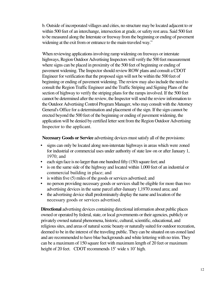b. Outside of incorporated villages and cities, no structure may be located adjacent to or within 500 feet of an interchange, intersection at grade, or safety rest area. Said 500 feet to be measured along the Interstate or freeway from the beginning or ending of pavement widening at the exit from or entrance to the main-traveled way."

When reviewing applications involving ramp widening on freeways or interstate highways, Region Outdoor Advertising Inspectors will verify the 500 feet measurement where signs can be placed in proximity of the 500 feet of beginning or ending of pavement widening. The Inspector should review ROW plans and consult a CDOT Engineer for verification that the proposed sign will not be within the 500 feet of beginning or ending of pavement widening. The review may also include the need to consult the Region Traffic Engineer and the Traffic Striping and Signing Plans of the section of highway to verify the striping plans for the ramps involved. If the 500 feet cannot be determined after the review, the Inspector will send the review information to the Outdoor Advertising Control Program Manager, who may consult with the Attorney General's Office for a determination and placement of the sign. If the sign cannot be erected beyond the 500 feet of the beginning or ending of pavement widening, the application will be denied by certified letter sent from the Region Outdoor Advertising Inspector to the applicant.

**Necessary Goods or Service** advertising devices must satisfy all of the provisions:

- signs can only be located along non-interstate highways in areas which were zoned for industrial or commercial uses under authority of state law on or after January 1, 1970; and
- each sign face is no larger than one hundred fifty (150) square feet; and
- is on the same side of the highway and located within 1,000 feet of an industrial or commercial building in place; and
- is within five (5) miles of the goods or services advertised; and
- no person providing necessary goods or services shall be eligible for more than two advertising devices in the same parcel after-January 1,1970 zoned area; and
- the advertising device shall predominately display the name and location of the necessary goods or services advertised.

**Directional** advertising devices containing directional information about public places owned or operated by federal, state, or local governments or their agencies, publicly or privately owned natural phenomena, historic, cultural, scientific, educational, and religious sites, and areas of natural scenic beauty or naturally suited for outdoor recreation, deemed to be in the interest of the traveling public. They can be situated on un-zoned land and are recommended to have blue backgrounds and white lettering with no trim. They can be a maximum of 150 square feet with maximum length of 20 feet or maximum height of 20 feet. CDOT recommends 15' wide x 10' high.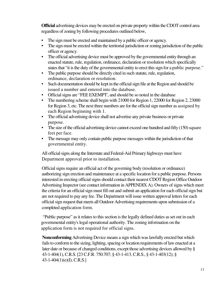**Official** advertising devices may be erected on private property within the CDOT control area regardless of zoning by following procedures outlined below,

- The sign must be erected and maintained by a public officer or agency.
- The sign must be erected within the territorial jurisdiction or zoning jurisdiction of the public officer or agency.
- The official advertising device must be approved by the governmental entity through an enacted statute, rule, regulation, ordinance, declaration or resolution which specifically states that "it is the duty of the governmental entity to erect this sign for a public purpose."
- The public purpose should be directly cited in such statute, rule, regulation, ordinance, declaration or resolution.
- Such documentation should be kept in the official sign file at the Region and should be issued a number and entered into the database.
- Official signs are "FEE EXEMPT', and should be so noted in the database
- The numbering scheme shall begin with 21000 for Region 1, 22000 for Region 2, 23000 for Region 3, etc. The next three numbers are for the official sign number as assigned by each Region beginning with 1.
- The official advertising device shall not advertise any private business or private purpose.
- The size of the official advertising device cannot exceed one hundred and fifty (150) square feet per face.
- The message may only contain public purpose messages within the jurisdiction of that governmental entity.

All official signs along the Interstate and Federal-Aid Primary highways must have Department approval prior to installation.

Official signs require an official act of the governing body (resolution or ordinance) authorizing sign erection and maintenance at a specific location for a public purpose. Persons interested in erecting official signs should contact their nearest CDOT Region Office Outdoor Advertising Inspector (see contact information in APPENDIX A). Owners of signs which meet the criteria for an official sign must fill out and submit an application for each official sign but are not required to pay any fee. The Department will issue written approval letters for each official sign request that meets all Outdoor Advertising requirements upon submission of a completed application form.

 "Public purpose" as it relates to this section is the legally defined duties as set out in each governmental entity's legal operational authority. The zoning information on the application form is not required for official signs.

**Nonconforming** Advertising Device means a sign which was lawfully erected but which fails to conform to the sizing, lighting, spacing or location requirements of law enacted at a later date or because of changed conditions, except those advertising devices allowed by § 43-1-404(1), C.R.S. [23 C.F.R. 750.707; § 43-1-413, C.R.S., § 43-1-403(12); § 43-1-404(1)(e)(I), C.R.S.]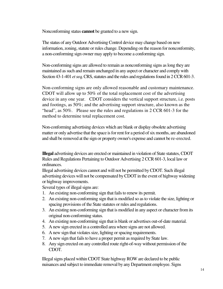Nonconforming status **cannot** be granted to a new sign.

The status of any Outdoor Advertising Control device may change based on new information, zoning, statute or rules change. Depending on the reason for nonconformity, a non-conforming sign owner may apply to become a conforming sign.

Non-conforming signs are allowed to remain as nonconforming signs as long they are maintained as such and remain unchanged in any aspect or character and comply with Section 43-1-401 *et seq,* CRS, statutes and the rules and regulations found in 2 CCR 601-3.

Non-conforming signs are only allowed reasonable and customary maintenance. CDOT will allow up to 50% of the total replacement cost of the advertising device in any one year. CDOT considers the vertical support structure, i.e. posts and footings, as 50%; and the advertising support structure, also known as the "head", as 50%. Please see the rules and regulations in 2 CCR 601-3 for the method to determine total replacement cost.

Non-conforming advertising devices which are blank or display obsolete advertising matter or only advertise that the space is for rent for a period of six months, are abandoned and shall be removed at the sign or property owner's expense and cannot be re-erected.

**Illegal** advertising devices are erected or maintained in violation of State statutes, CDOT Rules and Regulations Pertaining to Outdoor Advertising 2 CCR 601-3, local law or ordinances.

Illegal advertising devices cannot and will not be permitted by CDOT. Such illegal advertising devices will not be compensated by CDOT in the event of highway widening or highway improvements.

Several types of illegal signs are:

- 1. An existing non-conforming sign that fails to renew its permit.
- 2. An existing non-conforming sign that is modified so as to violate the size, lighting or spacing provisions of the State statutes or rules and regulations.
- 3. An existing non-conforming sign that is modified in any aspect or character from its original non-conforming status.
- 4. An existing non-conforming sign that is blank or advertises out-of-date material.
- 5. A new sign erected in a controlled area where signs are not allowed.
- 6. A new sign that violates size, lighting or spacing requirements.
- 7. A new sign that fails to have a proper permit as required by State law.
- 8. Any sign erected on any controlled route right-of-way without permission of the CDOT.

Illegal signs placed within CDOT State highway ROW are declared to be public nuisances and subject to immediate removal by any Department employee. Signs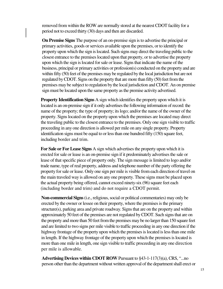removed from within the ROW are normally stored at the nearest CDOT facility for a period not to exceed thirty (30) days and then are discarded.

**On Premise Signs** The purpose of an on-premise sign is to advertise the principal or primary activities, goods or services available upon the premises, or to identify the property upon which the sign is located. Such signs may direct the traveling public to the closest entrance to the premises located upon that property, or to advertise the property upon which the sign is located for sale or lease. Signs that indicate the name of the business, principal or primary activities or profession(s) conducted on the property and are within fifty (50) feet of the premises may be regulated by the local jurisdiction but are not regulated by CDOT. Signs on the property that are more than fifty (50) feet from the premises may be subject to regulation by the local jurisdiction and CDOT. An on premise sign must be located upon the same property as the premise activity advertised.

**Property Identification Signs** A sign which identifies the property upon which it is located is an on-premise sign if it only advertises the following information of record: the name of the property; the type of property; its logo; and/or the name of the owner of the property. Signs located on the property upon which the premises are located may direct the traveling public to the closest entrance to the premises. Only one sign visible to traffic proceeding in any one direction is allowed per mile on any single property. Property identification signs must be equal to or less than one hundred fifty (150) square feet, including border and trim.

**For Sale or For Lease Signs** A sign which advertises the property upon which it is erected for sale or lease is an on-premise sign if it predominately advertises the sale or lease of that specific piece of property only. The sign message is limited to logo and/or trade name, type of real property, address and telephone number of the party offering the property for sale or lease. Only one sign per mile is visible from each direction of travel on the main traveled way is allowed on any one property. These signs must be placed upon the actual property being offered, cannot exceed ninety-six (96) square feet each (including border and trim) and do not require a CDOT permit.

**Non-commercial Signs** (i.e., religious, social or political commentaries) may only be erected by the owner or lessee on their property, where the premises is the primary structure(s), parking area and private roadway. Signs that are on the property and within approximately 50 feet of the premises are not regulated by CDOT. Such signs that are on the property and more than 50 feet from the premises may be no larger than 150 square feet and are limited to two signs per mile visible to traffic proceeding in any one direction if the highway frontage of the property upon which the premises is located is less than one mile in length. If the highway frontage of the property upon which the premises is located is more than one mile in length, one sign visible to traffic proceeding in any one direction per mile is allowable.

**Advertising Devices within CDOT ROW** Pursuant to §43-1-117(3)(a), CRS, "...no person other than the department without written approval of the department shall erect or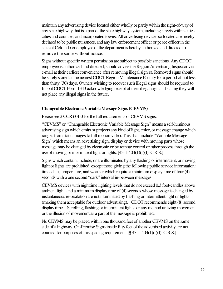maintain any advertising device located either wholly or partly within the right-of-way of any state highway that is a part of the state highway system, including streets within cities, cities and counties, and incorporated towns. All advertising devices so located are hereby declared to be public nuisances, and any law enforcement officer or peace officer in the state of Colorado or employee of the department is hereby authorized and directed to remove the same without notice."

Signs without specific written permission are subject to possible sanctions. Any CDOT employee is authorized and directed, should advise the Region Advertising Inspector via e-mail at their earliest convenience after removing illegal sign(s). Removed signs should be safely stored at the nearest CDOT Region Maintenance Facility for a period of not less than thirty (30) days. Owners wishing to recover such illegal signs should be required to fill out CDOT Form 1343 acknowledging receipt of their illegal sign and stating they will not place any illegal signs in the future.

#### **Changeable Electronic Variable Message Signs (CEVMS)**

Please see 2 CCR 601-3 for the full requirements of CEVMS signs.

"CEVMS" or "Changeable Electronic Variable Message Sign" means a self-luminous advertising sign which emits or projects any kind of light, color, or message change which ranges from static images to full motion video. This shall include "Variable Message Sign" which means an advertising sign, display or device with moving parts whose message may be changed by electronic or by remote control or other process through the use of moving or intermittent light or lights. [43-1-404(1)(f)(I), C.R.S.]

Signs which contain, include, or are illuminated by any flashing or intermittent, or moving light or lights are prohibited, except those giving the following public service information: time, date, temperature, and weather which require a minimum display time of four (4) seconds with a one second "dark" interval in-between messages.

CEVMS devices with nighttime lighting levels that do not exceed 0.3 foot-candles above ambient light, and a minimum display time of (4) seconds whose message is changed by instantaneous re-pixilation are not illuminated by flashing or intermittent light or lights (making them acceptable for outdoor advertising). CDOT recommends eight (8) second display time. Scrolling, flashing or intermittent lights, or any method utilizing movement or the illusion of movement as a part of the message is prohibited.

No CEVMS may be placed within one thousand feet of another CEVMS on the same side of a highway. On-Premise Signs inside fifty feet of the advertised activity are not counted for purposes of this spacing requirement. [§ 43-1-404(1)(f)(I), C.R.S.]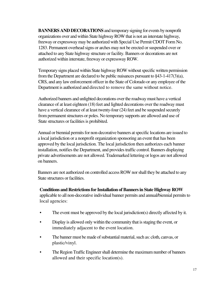**BANNERS AND DECORATIONS** and temporary signing for events by nonprofit organizations over and within State highway ROW that is not an interstate highway, freeway or expressway may be authorized with Special Use Permit CDOT Form No. 1283. Permanent overhead signs or arches may not be erected or suspended over or attached to any State highway structure or facility. Banners or decorations are not authorized within interstate, freeway or expressway ROW.

Temporary signs placed within State highway ROW without specific written permission from the Department are declared to be public nuisances pursuant to §43-1-417(3)(a), CRS, and any law enforcement officer in the State of Colorado or any employee of the Department is authorized and directed to remove the same without notice.

Authorized banners and unlighted decorations over the roadway must have a vertical clearance of at least eighteen (18) feet and lighted decorations over the roadway must have a vertical clearance of at least twenty-four (24) feet and be suspended securely from permanent structures or poles. No temporary supports are allowed and use of State structures or facilities is prohibited.

Annual or biennial permits for non-decorative banners at specific locations are issued to a local jurisdiction or a nonprofit organization sponsoring an event that has been approved by the local jurisdiction. The local jurisdiction then authorizes each banner installation, notifies the Department, and provides traffic control. Banners displaying private advertisements are not allowed. Trademarked lettering or logos are not allowed on banners.

Banners are not authorized on controlled access ROW nor shall they be attached to any State structures or facilities.

**Conditions and Restrictions for Installation of Banners in State Highway ROW** applicable to all non-decorative individual banner permits and annual/biennial permits to local agencies:

- The event must be approved by the local jurisdiction(s) directly affected by it.
- Display is allowed only within the community that is staging the event, or immediately adjacent to the event location.
- The banner must be made of substantial material, such as: cloth, canvas, or plastic/vinyl.
- The Region Traffic Engineer shall determine the maximum number of banners allowed and their specific location(s).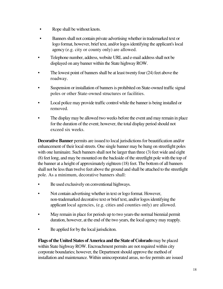- Rope shall be without knots.
- Banners shall not contain private advertising whether in trademarked text or logo format, however, brief text, and/or logos identifying the applicant's local agency (e.g. city or county only) are allowed.
- Telephone number, address, website URL and e-mail address shall not be displayed on any banner within the State highway ROW.
- The lowest point of banners shall be at least twenty four (24) feet above the roadway.
- Suspension or installation of banners is prohibited on State-owned traffic signal poles or other State-owned structures or facilities.
- Local police may provide traffic control while the banner is being installed or removed.
- The display may be allowed two weeks before the event and may remain in place for the duration of the event; however, the total display period should not exceed six weeks.

**Decorative Banner** permits are issued to local jurisdictions for beautification and/or enhancement of their local streets. One single banner may be hung on streetlight poles with one luminaire. Such banners shall not be larger than three (3) feet wide and eight (8) feet long, and may be mounted on the backside of the streetlight pole with the top of the banner at a height of approximately eighteen (18) feet. The bottom of all banners shall not be less than twelve feet above the ground and shall be attached to the streetlight pole. As a minimum, decorative banners shall:

- Be used exclusively on conventional highways.
- Not contain advertising whether in text or logo format. However, non-trademarked decorative text or brief text, and/or logos identifying the applicant local agencies, (e.g. cities and counties only) are allowed.
- May remain in place for periods up to two years-the normal biennial permit duration, however, at the end of the two years, the local agency may reapply.
- Be applied for by the local jurisdiciton.

**Flags of the United States of America and the State of Colorado** may be placed within State highway ROW. Encroachment permits are not required within city corporate boundaries; however, the Department should approve the method of installation and maintenance. Within unincorporated areas, no-fee permits are issued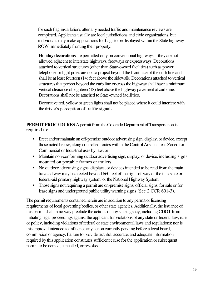for such flag installations after any needed traffic and maintenance reviews are completed. Applicants usually are local jurisdictions and civic organizations, but individuals may make applications for flags to be displayed within the State highway ROW immediately fronting their property.

**Holiday decorations** are permitted only on conventional highways—they are not allowed adjacent to interstate highways, freeways or expressways. Decorations attached to vertical structures (other than State-owned facilities) such as power, telephone, or light poles are not to project beyond the front face of the curb line and shall be at least fourteen (14) feet above the sidewalk. Decorations attached to vertical structures that project beyond the curb line or cross the highway shall have a minimum vertical clearance of eighteen (18) feet above the highway pavement at curb line. Decorations shall not be attached to State-owned facilities.

Decorative red, yellow or green lights shall not be placed where it could interfere with the driver's perception of traffic signals.

**PERMIT PROCEDURES** A permit from the Colorado Department of Transportation is required to:

- Erect and/or maintain an off-premise outdoor advertising sign, display, or device, except those noted below, along controlled routes within the Control Area in areas Zoned for Commercial or Industrial uses by law, or
- Maintain non-conforming outdoor advertising sign, display, or device, including signs mounted on portable frames or trailers.
- No outdoor advertising signs, displays, or devices intended to be read from the main traveled way may be erected beyond 660 feet of the right-of-way of the interstate or federal-aid primary highway system, or the National Highway System.
- Those signs not requiring a permit are on-premise signs, official signs, for sale or for lease signs and underground public utility warning signs (See 2 CCR 601-3).

The permit requirements contained herein are in addition to any permit or licensing requirements of local governing bodies, or other state agencies. Additionally, the issuance of this permit shall in no way preclude the actions of any state agency, including CDOT from initiating legal proceedings against the applicant for violations of any state or federal law, rule or policy, including violations of federal or state environmental laws and regulations; nor is this approval intended to influence any action currently pending before a local board, commission or agency. Failure to provide truthful, accurate, and adequate information required by this application constitutes sufficient cause for the application or subsequent permit to be denied, cancelled, or revoked.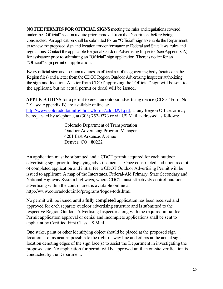**NO FEE PERMITS FOR OFFICIAL SIGNS** meeting the rules and regulations covered under the "Official" section require prior approval from the Department before being constructed. An application shall be submitted for an "Official" sign to enable the Department to review the proposed sign and location for conformance to Federal and State laws, rules and regulations. Contact the applicable Regional Outdoor Advertising Inspector (see Appendix A) for assistance prior to submitting an "Official" sign application. There is no fee for an "Official" sign permit or application.

Every official sign and location requires an official act of the governing body (retained in the Region files) and a letter from the CDOT Region Outdoor Advertising Inspector authorizing the sign and location. A letter from CDOT approving the "Official" sign will be sent to the applicant, but no actual permit or decal will be issued.

**APPLICATIONS** for a permit to erect an outdoor advertising device (CDOT Form No. 291, see Appendix B) are available online at:

http://www.coloradodot.info/library/forms/cdot0291.pdf, at any Region Office, or may be requested by telephone, at (303) 757-9273 or via US Mail, addressed as follows:

> Colorado Department of Transportation Outdoor Advertising Program Manager 4201 East Arkansas Avenue Denver, CO 80222

An application must be submitted and a CDOT permit acquired for each outdoor advertising sign prior to displaying advertisements. Once constructed and upon receipt of completed application and initial fee, a CDOT Outdoor Advertising Permit will be issued to applicant. A map of the Interstates, Federal-Aid Primary, State Secondary and National Highway System highways, where CDOT must effectively control outdoor advertising within the control area is available online at http://www.coloradodot.info/programs/logos-tods.html

No permit will be issued until a **fully completed** application has been received and approved for each separate outdoor advertising structure and is submitted to the respective Region Outdoor Advertising Inspector along with the required initial fee. Permit application approval or denial and incomplete applications shall be sent to applicant by Certified First Class US Mail.

One stake, paint or other identifying object should be placed at the proposed sign location at or as near as possible to the right-of-way line and others at the actual sign location denoting edges of the sign face(s) to assist the Department in investigating the proposed site. No application for permit will be approved until an on-site verification is conducted by the Department.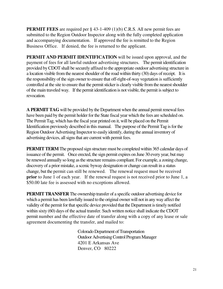**PERMIT FEES** are required per § 43-1-409 (1)(b) C.R.S. All new permit fees are submitted to the Region Outdoor Inspector along with the fully completed application and accompanying documentation. If approved the fee is remitted to the Region Business Office. If denied, the fee is returned to the applicant.

**PERMIT AND PERMIT IDENTIFICATION** will be issued upon approval, and the payment of fees for all lawful outdoor advertising structures. The permit identification provided by CDOT shall be securely affixed to the appropriate outdoor advertising structure in a location visible from the nearest shoulder of the road within thirty (30) days of receipt. It is the responsibility of the sign owner to ensure that off-right-of-way vegetation is sufficiently controlled at the site to ensure that the permit sticker is clearly visible from the nearest shoulder of the main traveled way. If the permit identification is not visible, the permit is subject to revocation.

**A PERMIT TAG** will be provided by the Department when the annual permit renewal fees have been paid by the permit holder for the State fiscal year which the fees are scheduled on. The Permit Tag, which has the fiscal year printed on it, will be placed on the Permit Identification previously described in this manual. The purpose of the Permit Tag is for the Region Outdoor Advertising Inspector to easily identify, during the annual inventory of advertising devices, all signs that are current with permit fees.

**PERMIT TERM** The proposed sign structure must be completed within 365 calendar days of issuance of the permit. Once erected, the sign permit expires on June 30 every year, but may be renewed annually so long as the structure remains compliant. For example, a zoning change, discovery of a prior mistake, a scenic byway designation or change can result in a status change, but the permit can still be renewed. The renewal request must be received **prior** to June 1 of each year. If the renewal request is not received prior to June 1, a \$50.00 late fee is assessed with no exceptions allowed.

**PERMIT TRANSFER** The ownership transfer of a specific outdoor advertising device for which a permit has been lawfully issued to the original owner will not in any way affect the validity of the permit for that specific device provided that the Department is timely notified within sixty (60) days of the actual transfer. Such written notice shall indicate the CDOT permit number and the effective date of transfer along with a copy of any lease or sale agreement documenting the transfer, and mailed to:

> Colorado Department of Transportation Outdoor Advertising Control Program Manager 4201 E Arkansas Ave Denver, CO 80222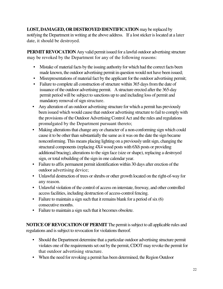**LOST, DAMAGED, OR DESTROYED IDENTIFICATION** may be replaced by notifying the Department in writing at the above address. If a lost sticker is located at a later date, it should be destroyed.

**PERMIT REVOCATION** Any valid permit issued for a lawful outdoor advertising structure may be revoked by the Department for any of the following reasons:

- Mistake of material facts by the issuing authority for which had the correct facts been made known, the outdoor advertising permit in question would not have been issued;
- Misrepresentations of material fact by the applicant for the outdoor advertising permit;
- Failure to complete all construction of structure within 365 days from the date of issuance of the outdoor advertising permit. A structure erected after the 365-day permit period will be subject to sanctions up to and including loss of permit and mandatory removal of sign structure.
- Any alteration of an outdoor advertising structure for which a permit has previously been issued which would cause that outdoor advertising structure to fail to comply with the provisions of the Outdoor Advertising Control Act and the rules and regulations promulgated by the Department pursuant thereto;
- Making alterations that change any or character of a non-conforming sign which could cause it to be other than substantially the same as it was on the date the sign became nonconforming. This means placing lighting on a previously unlit sign, changing the structural components (replacing 4X4 wood posts with 6X6 posts or providing additional bracing), alterations to the sign face (size or shape), replacing a destroyed sign, or total rebuilding of the sign in one calendar year.
- Failure to affix permanent permit identification within 30 days after erection of the outdoor advertising device;
- Unlawful destruction of trees or shrubs or other growth located on the right-of-way for any reason.
- Unlawful violation of the control of access on interstate, freeway, and other controlled access facilities, including destruction of access-control fencing.
- Failure to maintain a sign such that it remains blank for a period of six  $(6)$ consecutive months.
- Failure to maintain a sign such that it becomes obsolete.

**NOTICE OF REVOCATION OF PERMIT** The permit is subject to all applicable rules and regulations and is subject to revocation for violations thereof.

- Should the Department determine that a particular outdoor advertising structure permit violates one of the requirements set out by the permit, CDOT may revoke the permit for that outdoor advertising structure.
- When the need for revoking a permit has been determined, the Region Outdoor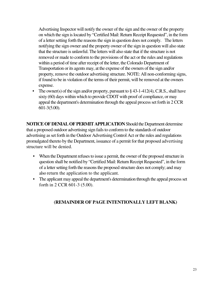Advertising Inspector will notify the owner of the sign and the owner of the property on which the sign is located by "Certified Mail: Return Receipt Requested", in the form of a letter setting forth the reasons the sign in question does not comply. The letters notifying the sign owner and the property owner of the sign in question will also state that the structure is unlawful. The letters will also state that if the structure is not removed or made to conform to the provisions of the act or the rules and regulations within a period of time after receipt of the letter, the Colorado Department of Transportation or its agents may, at the expense of the owners of the sign and/or property, remove the outdoor advertising structure. NOTE: All non-conforming signs, if found to be in violation of the terms of their permit, will be removed at the owners expense.

• The owner(s) of the sign and/or property, pursuant to  $\S$  43-1-412(4), C.R.S., shall have sixty (60) days within which to provide CDOT with proof of compliance, or may appeal the department's determination through the appeal process set forth in 2 CCR 601-3(5.00).

**NOTICE OF DENIAL OF PERMIT APPLICATION** Should the Department determine that a proposed outdoor advertising sign fails to conform to the standards of outdoor advertising as set forth in the Outdoor Advertising Control Act or the rules and regulations promulgated thereto by the Department, issuance of a permit for that proposed advertising structure will be denied.

- When the Department refuses to issue a permit, the owner of the proposed structure in question shall be notified by "Certified Mail: Return Receipt Requested", in the form of a letter setting forth the reasons the proposed structure does not comply; and may also return the application to the applicant.
- The applicant may appeal the department's determination through the appeal process set forth in 2 CCR 601-3 (5.00).

## **(REMAINDER OF PAGE INTENTIONALLY LEFT BLANK)**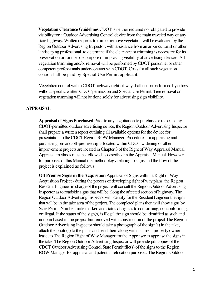**Vegetation Clearance Guidelines** CDOT is neither required nor obligated to provide visibility for a Outdoor Advertising Control device from the main traveled way of any state highway. Written requests to trim or remove vegetation will be evaluated by the Region Outdoor Advertising Inspector, with assistance from an arbor culturist or other landscaping professional, to determine if the clearance or trimming is necessary for its preservation or for the sole purpose of improving visibility of advertising devices. All vegetation trimming and/or removal will be performed by CDOT personnel or other competent professionals under contract with CDOT. Costs for all such vegetation control shall be paid by Special Use Permit applicant.

Vegetation control within CDOT highway right-of-way shall not be performed by others without specific written CDOT permission and Special Use Permit. Tree removal or vegetation trimming will not be done solely for advertising sign visibility.

#### **APPRAISAL**

**Appraisal of Signs Purchased** Prior to any negotiation to purchase or relocate any CDOT-permitted outdoor advertising device, the Region Outdoor Advertising Inspector shall prepare a written report outlining all available options for the device for presentation to the CDOT Region ROW Manager. Procedures for appraising and purchasing on- and off-premise signs located within CDOT widening or other improvement projects are located in Chapter 3 of the Right of Way Appraisal Manual. Appraisal methods must be followed as described in the Appraisal Manual. However for purposes of this Manual the methodology relating to signs and the flow of the project is explained as follows:

**Off Premise Signs in the Acquisition** Appraisal of Signs within a Right of Way Acquisition Project - during the process of developing right of way plans, the Region Resident Engineer in charge of the project will consult the Region Outdoor Advertising Inspector as to roadside signs that will be along the affected section of highway. The Region Outdoor Advertising Inspector will identify for the Resident Engineer the signs that will be in the take area of the project. The completed plans then will show signs by State Permit Number, mile marker, and status of sign as to conforming, nonconforming, or illegal. If the status of the sign(s) is illegal the sign should be identified as such and not purchased in the project but removed with construction of the project The Region Outdoor Advertising Inspector should take a photograph of the sign(s) in the take, attach the photo(s) to the plans and send them along with a current property owner lease, to The Region Right of Way Manager for the Appraiser to appraise the signs in the take. The Region Outdoor Advertising Inspector will provide pdf copies of the CDOT Outdoor Advertising Control State Permit file(s) of the signs to the Region ROW Manager for appraisal and potential relocation purposes. The Region Outdoor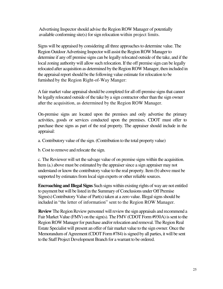Advertising Inspector should advise the Region ROW Manager of potentially available conforming site(s) for sign relocation within project limits.

Signs will be appraised by considering all three approaches to determine value. The Region Outdoor Advertising Inspector will assist the Region ROW Manager to determine if any off premise signs can be legally relocated outside of the take, and if the local zoning authority will allow such relocation. If the off premise sign can be legally relocated after acquisition as determined by the Region ROW Manager, then included in the appraisal report should be the following value estimate for relocation to be furnished by the Region Right-of-Way Manger:

A fair market value appraisal should be completed for all off-premise signs that cannot be legally relocated outside of the take by a sign contractor other than the sign owner after the acquisition, as determined by the Region ROW Manager.

On-premise signs are located upon the premises and only advertise the primary activities, goods or services conducted upon the premises. CDOT must offer to purchase these signs as part of the real property. The appraiser should include in the appraisal:

a. Contributory value of the sign. (Contribution to the total property value)

b. Cost to remove and relocate the sign.

c. The Reviewer will set the salvage value of on premise signs within the acquisition. Item (a.) above must be estimated by the appraiser since a sign appraiser may not understand or know the contributory value to the real property. Item (b) above must be supported by estimates from local sign experts or other reliable sources.

**Encroaching and Illegal Signs** Such signs within existing rights of way are not entitled to payment but will be listed in the Summary of Conclusions under Off Premise Signs(s) Contributory Value of Part(s) taken at a zero value. Illegal signs should be included in "the letter of information" sent to the Region ROW Manager.

**Review** The Region Review personnel will review the sign appraisals and recommend a Fair Market Value (FMV) on the sign(s). The FMV (CDOT Form #930A) is sent to the Region ROW Manager for purchase and/or relocation and removal. The Region Real Estate Specialist will present an offer of fair market value to the sign owner. Once the Memorandum of Agreement (CDOT Form #784) is signed by all parties, it will be sent to the Staff Project Development Branch for a warrant to be ordered.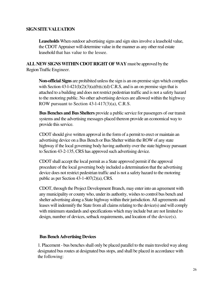#### **SIGN SITE VALUATION**

**Leaseholds** When outdoor advertising signs and sign sites involve a leasehold value, the CDOT Appraiser will determine value in the manner as any other real estate leasehold that has value to the lessee.

**ALL NEW SIGNS WITHIN CDOT RIGHT OF WAY** must be approved by the Region Traffic Engineer.

**Non-official Signs** are prohibited unless the sign is an on-premise sign which complies with Section 43-1-421(l)(2)(3)(a)(b)(c)(d) C.R.S, and is an on premise sign that is attached to a building and does not restrict pedestrian traffic and is not a safety hazard to the motoring public. No other advertising devices are allowed within the highway ROW pursuant to Section 43-l-417(3)(a), C.R.S.

**Bus Benches and Bus Shelters** provide a public service for passengers of our transit systems and the advertising messages placed thereon provide an economical way to provide this service.

CDOT should give written approval in the form of a permit to erect or maintain an advertising device on a Bus Bench or Bus Shelter within the ROW of any state highway if the local governing body having authority over the state highway pursuant to Section 43-2-135, CRS has approved such advertising device.

CDOT shall accept the local permit as a State approved permit if the approval procedure of the local governing body included a determination that the advertising device does not restrict pedestrian traffic and is not a safety hazard to the motoring public as per Section 43-1-407(2)(a), CRS.

CDOT, through the Project Development Branch, may enter into an agreement with any municipality or county who, under its authority, wishes to control bus bench and shelter advertising along a State highway within their jurisdiction. All agreements and leases will indemnify the State from all claims relating to the device(s) and will comply with minimum standards and specifications which may include but are not limited to design, number of devices, setback requirements, and location of the device(s).

#### **Bus Bench Advertising Devices**

1. Placement - bus benches shall only be placed parallel to the main traveled way along designated bus routes at designated bus stops, and shall be placed in accordance with the following: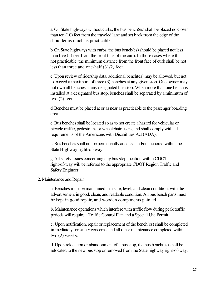a. On State highways without curbs, the bus bench(es) shall be placed no closer than ten (10) feet from the traveled lane and set back from the edge of the shoulder as much as practicable.

b. On State highways with curbs, the bus bench(es) should be placed not less than five (5) feet from the front face of the curb. In those cases where this is not practicable, the minimum distance from the front face of curb shall be not less than three and one-half (31/2*)* feet.

c. Upon review of ridership data, additional bench(es) may be allowed, but not to exceed a maximum of three (3) benches at any given stop. One owner may not own all benches at any designated bus stop. When more than one bench is installed at a designated bus stop, benches shall be separated by a minimum of two (2) feet.

d. Benches must be placed at or as near as practicable to the passenger boarding area.

e. Bus benches shall be located so as to not create a hazard for vehicular or bicycle traffic, pedestrians or wheelchair users, and shall comply with all requirements of the Americans with Disabilities Act (ADA).

f. Bus benches shall not be permanently attached and/or anchored within the State Highway right-of-way.

g. All safety issues concerning any bus stop location within CDOT right-of-way will be referred to the appropriate CDOT Region Traffic and Safety Engineer.

#### 2. Maintenance and Repair

a. Benches must be maintained in a safe, level, and clean condition, with the advertisement in good, clean, and readable condition. All bus bench parts must be kept in good repair, and wooden components painted.

b. Maintenance operations which interfere with traffic flow during peak traffic periods will require a Traffic Control Plan and a Special Use Permit.

c. Upon notification, repair or replacement of the bench(es) shall be completed immediately for safety concerns, and all other maintenance completed within two (2) weeks.

d. Upon relocation or abandonment of a bus stop, the bus bench(es) shall be relocated to the new bus stop or removed from the State highway right-of-way.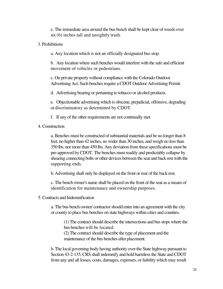e. The immediate area around the bus bench shall be kept clear of weeds over six (6) inches tall and unsightly trash.

3. Prohibitions

a. Any location which is not an officially designated bus stop.

b. Any location where such benches would interfere with the safe and efficient movement of vehicles or pedestrians.

c. On private property without compliance with the Colorado Outdoor Advertising Act. Such benches require a CDOT Outdoor Advertising Permit.

d. Advertising bearing or pertaining to tobacco or alcohol products.

e. Objectionable advertising which is obscene, prejudicial, offensive, degrading or discriminatory as determined by CDOT.

f. If any of the other requirements are not continually met.

4. Construction

a. Benches must be constructed of substantial materials and be no longer than 8 feet, no higher than 42 inches, no wider than 30 inches, and weigh no less than 350 lbs. nor more than 450 lbs. Any deviation from these specifications must be pre-approved by CDOT. The benches must readily and predictably collapse by shearing connecting bolts or other devices between the seat and back rest with the supporting ends.

b. Advertising shall only be displayed on the front or rear of the back rest.

c. The bench owner's name shall be placed on the front of the seat as a means of identification for maintenance and ownership purposes.

5. Contracts and Indemnification

a. The bus bench owner/ contractor should enter into an agreement with the city or county to place bus benches on state highways within cities and counties.

(1) The contract should describe the intersections and bus stops where the bus benches will be located.

(2) The contract should describe the type of placement and the maintenance of the bus benches after placement.

b. The local governing body having authority over the State highway pursuant to Section 43-2-135, CRS shall indemnify and hold harmless the State and CDOT from any and all losses, costs, damages, expenses, or liability which may result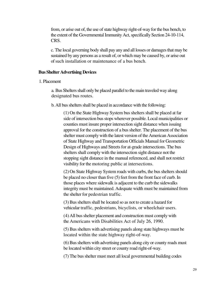from, or arise out of, the use of state highway right-of-way for the bus bench, to the extent of the Governmental Immunity Act, specifically Section 24-10-114, CRS.

c. The local governing body shall pay any and all losses or damages that may be sustained by any persons as a result of, or which may be caused by, or arise out of such installation or maintenance of a bus bench.

#### **Bus Shelter Advertising Devices**

#### 1. Placement

a. Bus Shelters shall only be placed parallel to the main traveled way along designated bus routes.

b. All bus shelters shall be placed in accordance with the following:

(1) On the State Highway System bus shelters shall be placed at far side of intersection bus stops wherever possible. Local municipalities or counties must insure proper intersection sight distance when issuing approval for the construction of a bus shelter. The placement of the bus shelter must comply with the latest version of the American Association of State Highway and Transportation Officials Manual for Geometric Design of Highways and Streets for at-grade intersections. The bus shelters shall comply with the intersection sight distance not the stopping sight distance in the manual referenced, and shall not restrict visibility for the motoring public at intersections.

(2) On State Highway System roads with curbs, the bus shelters should be placed no closer than five (5) feet from the front face of curb. In those places where sidewalk is adjacent to the curb the sidewalks integrity must be maintained. Adequate width must be maintained from the shelter for pedestrian traffic.

(3)Bus shelters shall be located so as not to create a hazard for vehicular traffic, pedestrians, bicyclists, or wheelchair users.

(4)All bus shelter placement and construction must comply with the Americans with Disabilities Act of July 26, 1990.

(5) Bus shelters with advertising panels along state highways must be located within the state highway right-of-way.

(6)Bus shelters with advertising panels along city or county roads must be located within city street or county road right-of-way.

(7) The bus shelter must meet all local governmental building codes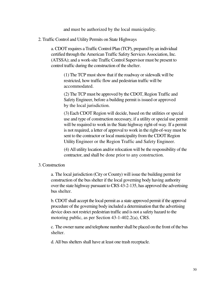and must be authorized by the local municipality.

2. Traffic Control and Utility Permits on State Highways

a. CDOT requires a Traffic Control Plan (TCP), prepared by an individual certified through the American Traffic Safety Services Association, Inc. (ATSSA); and a work-site Traffic Control Supervisor must be present to control traffic during the construction of the shelter.

> (1) The TCP must show that if the roadway or sidewalk will be restricted, how traffic flow and pedestrian traffic will be accommodated.

(2) The TCP must be approved by the CDOT, Region Traffic and Safety Engineer, before a building permit is issued or approved by the local jurisdiction.

(3) Each CDOT Region will decide, based on the utilities or special use and type of construction necessary, if a utility or special use permit will be required to work in the State highway right-of-way. If a permit is not required, a letter of approval to work in the right-of-way must be sent to the contractor or local municipality from the CDOT Region Utility Engineer or the Region Traffic and Safety Engineer.

(4) All utility location and/or relocation will be the responsibility of the contractor, and shall be done prior to any construction.

#### 3. Construction

a. The local jurisdiction (City or County) will issue the building permit for construction of the bus shelter if the local governing body having authority over the state highway pursuant to CRS 43-2-135, has approved the advertising bus shelter.

b. CDOT shall accept the local permit as a state approved permit if the approval procedure of the governing body included a determination that the advertising device does not restrict pedestrian traffic and is not a safety hazard to the motoring public, as per Section 43-1-402.2(a), CRS.

c. The owner name and telephone number shall be placed on the front of the bus shelter.

d. All bus shelters shall have at least one trash receptacle.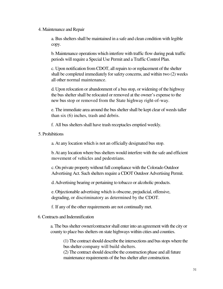#### 4. Maintenance and Repair

a. Bus shelters shall be maintained in a safe and clean condition with legible copy.

b. Maintenance operations which interfere with traffic flow during peak traffic periods will require a Special Use Permit and a Traffic Control Plan.

c. Upon notification from CDOT, all repairs to or replacement of the shelter shall be completed immediately for safety concerns, and within two (2) weeks all other normal maintenance.

d. Upon relocation or abandonment of a bus stop, or widening of the highway the bus shelter shall be relocated or removed at the owner's expense to the new bus stop or removed from the State highway right-of-way.

e. The immediate area around the bus shelter shall be kept clear of weeds taller than six (6) inches, trash and debris.

f. All bus shelters shall have trash receptacles emptied weekly.

5. Prohibitions

a. At any location which is not an officially designated bus stop.

b. At any location where bus shelters would interfere with the safe and efficient movement of vehicles and pedestrians.

c. On private property without full compliance with the Colorado Outdoor Advertising Act. Such shelters require a CDOT Outdoor Advertising Permit.

d. Advertising bearing or pertaining to tobacco or alcoholic products.

e. Objectionable advertising which is obscene, prejudicial, offensive, degrading, or discriminatory as determined by the CDOT.

f. If any of the other requirements are not continually met.

6. Contracts and Indemnification

a. The bus shelter owner/contractor shall enter into an agreement with the city or county to place bus shelters on state highways within cities and counties.

(1) The contract should describe the intersections and bus stops where the bus shelter company will build shelters.

(2) The contract should describe the construction phase and all future maintenance requirements of the bus shelter after construction.